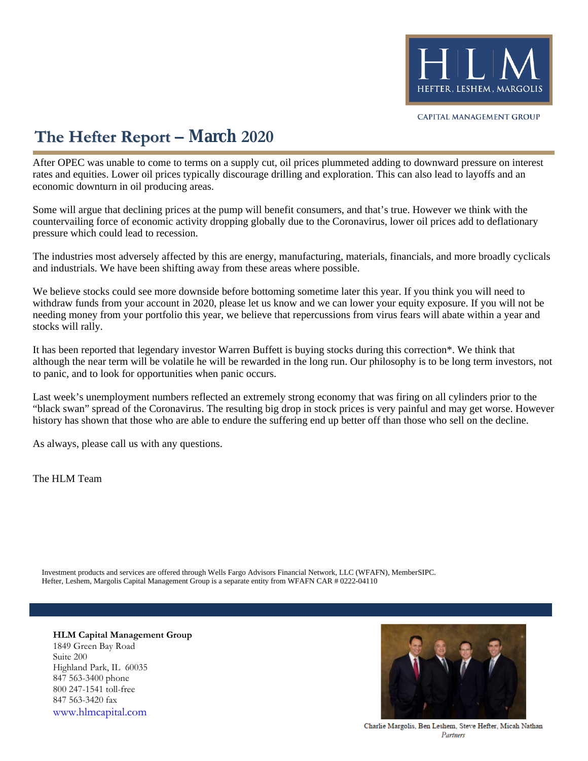

# **The Hefter Report – March 2020**

After OPEC was unable to come to terms on a supply cut, oil prices plummeted adding to downward pressure on interest rates and equities. Lower oil prices typically discourage drilling and exploration. This can also lead to layoffs and an economic downturn in oil producing areas.

Some will argue that declining prices at the pump will benefit consumers, and that's true. However we think with the countervailing force of economic activity dropping globally due to the Coronavirus, lower oil prices add to deflationary pressure which could lead to recession.

The industries most adversely affected by this are energy, manufacturing, materials, financials, and more broadly cyclicals and industrials. We have been shifting away from these areas where possible.

We believe stocks could see more downside before bottoming sometime later this year. If you think you will need to withdraw funds from your account in 2020, please let us know and we can lower your equity exposure. If you will not be needing money from your portfolio this year, we believe that repercussions from virus fears will abate within a year and stocks will rally.

It has been reported that legendary investor Warren Buffett is buying stocks during this correction\*. We think that although the near term will be volatile he will be rewarded in the long run. Our philosophy is to be long term investors, not to panic, and to look for opportunities when panic occurs.

Last week's unemployment numbers reflected an extremely strong economy that was firing on all cylinders prior to the "black swan" spread of the Coronavirus. The resulting big drop in stock prices is very painful and may get worse. However history has shown that those who are able to endure the suffering end up better off than those who sell on the decline.

As always, please call us with any questions.

The HLM Team

Hefter, Leshem, Margolis Capital Management Group is a separate entity from WFAFN CAR # 0222-04110 Investment products and services are offered through Wells Fargo Advisors Financial Network, LLC (WFAFN), MemberSIPC.

**HLM Capital Management Group** 1849 Green Bay Road Suite 200 Highland Park, IL 60035 847 563-3400 phone 800 247-1541 toll-free 847 563-3420 fax [www.hlmcapital.com](http://www.hlmcapital.com/)



Charlie Margolis, Ben Leshem, Steve Hefter, Micah Nathan Partners